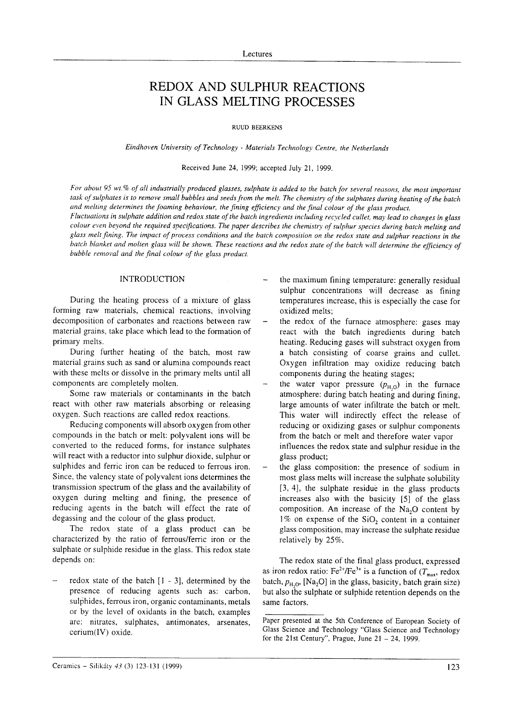# REDOX AND SULPHUR REACTIONS IN GLASS MELTING PROCESSES

RUUD BEERKENS

## Eindhoven University of Technology - Materials Technology Centre, the Netherlands

### Received lune 24, 1999; accepted July 21, 1999.

For about 95 wt.% of all industrially produced glasses, sulphate is added to the batch for several reasons, the most important task of sulphates is to remove small bubbles and seeds from the melt. The chemistry of the sulphates during heating of the batch and nrelting determines the foaming behaviour, the fining efftciency and the final colour of the glass product. Fluctuations in sulphate addition and redox state of the batch ingredients including recycled cullet, may lead to changes in glass

colour even beyond the required specifications. The paper describes the chemistry of sulphur species during batch melting and glass melt fining. The impact of process conditions and the batch composition on the redox state and sulphur reactions in the batch blanket and molten glass will be shown. These reactions and the redox state of the batch will determine the efficiency of bubble removal and the final colour of the glass product.

## INTRODUCTION

During the heating process of a mixture of glass forming raw materials, chemical reactions, involving decomposition of carbonates and reactions between raw material grains, take place which lead to the formation of primary melts.

During further heating of the batch, most raw material grains such as sand or alumina compounds react with these mclts or dissolve in the primary melts until all components are completely molten.

Some raw materials or contaminants in the batch react with other raw materials absorbing or releasing oxygen. Such reactions are called redox reactions.

Reducing components will absorb oxygen from other compounds in the batch or melt: polyvalent ions will be converted to the reduced forms, for instance sulphates will react with a reductor into sulphur dioxide, sulphur or sulphides and ferric iron can be reduced to ferrous iron. Since, the valency state of polyvalent ions determines the transmission spectrum of the glass and the availability of oxygen during melting and fining, the presence of reducing agents in the batch will effect the rate of degassing and the colour of the glass product.

The redox state of a glass product can be characterized by the ratio of ferrous/fenic iron or the sulphate or sulphide residue in the glass. This redox state depends on:

redox state of the batch  $[1 - 3]$ , determined by the presence of reducing agents such as: carbon, sulphides, ferrous iron, organic contaminants, metals or by the level of oxidants in the batch, examples are: nitrates, sulphates, antimonates, arsenates, cerium(IV) oxide.

- the maximum fining temperature: generally residual sulphur concentrations will decrease as fining temperatures increase, this is especially the case for oxidized melts;
- the redox of the furnace atmosphere: gases may react with the batch ingredients during batch heating. Reducing gases will substract oxygen from a batch consisting of coarse grains and cullet. Oxygen infiltration may oxidize reducing batch components during the heating stages;
- the water vapor pressure  $(p_{H,0})$  in the furnace atmosphere: during batch heating and during fining, large amounts of water infiltrate the batch or melt. This water will indirectly effect the release of reducing or oxidizing gases or sulphur components from the batch or melt and therefore water vapor influences the redox state and sulphur residue in the glass product;
- the glass composition: the presence of sodium in most glass melts will increase the sulphate solubility [3, 4], the sulphate residue in the glass products increases also with the basicity [5] of the glass composition. An increase of the  $Na<sub>2</sub>O$  content by  $1\%$  on expense of the SiO<sub>2</sub> content in a container glass composition, may increase the sulphate residue relatively by 25%.

The redox state of the final glass product, expressed as iron redox ratio: Fe<sup>2+</sup>/Fe<sup>3+</sup> is a function of ( $T_{\text{max}}$ , redox batch,  $p_{\text{H},\text{O}}$ , [Na<sub>2</sub>O] in the glass, basicity, batch grain size) but also the sulphate or sulphide retention depends on the same factors.

Paper presented at the 5th Conference of European Society of Glass Science and Technology "Glass Science and Technology for the 21st Century", Prague, June  $21 - 24$ , 1999.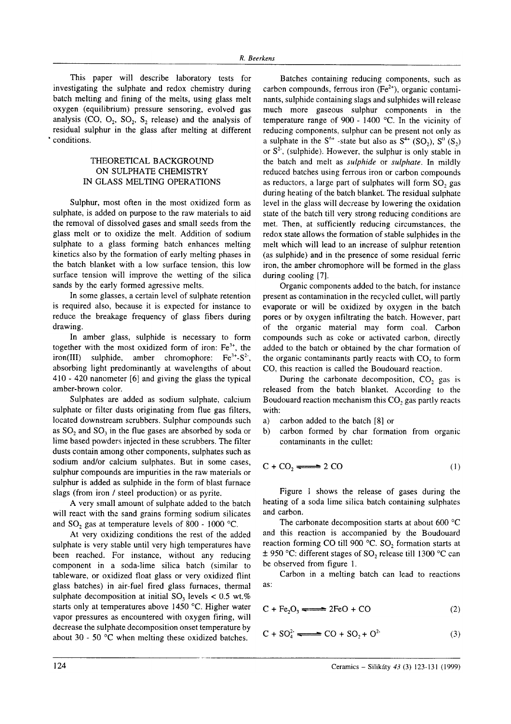This paper will describe laboratory tests for investigating the sulphate and redox chemistry during batch melting and fining of the melts, using glass melt oxygen (equilibrium) pressure sensoring, evolved gas analysis (CO,  $O_2$ ,  $SO_2$ ,  $S_2$ , release) and the analysis of residual sulphur in the glass after melting at different 'conditions.

# THEORETICAL BACKGROUND ON SULPHATE CHEMISTRY IN GLASS MELTING OPERATIONS

Sulphur, most often in the most oxidized form as sulphate, is added on purpose to the raw materials to aid the removal of dissolved gases and small seeds from the glass melt or to oxidize the melt. Addition of sodium sulphate to a glass forming batch enhances melting kinetics also by the formation of early melting phases in the batch blanket with a low surface tension, this low surface tension will improve the wetting of the silica sands by the early formed agressive melts.

In some glasses, a certain level of sulphate retention is required also, because it is expected for instance to reduce the breakage frequency of glass fibers during drawing.

In amber glass, sulphide is necessary to form together with the most oxidized form of iron:  $Fe<sup>3+</sup>$ , the iron(III) sulphide, amber chromophore:  $Fe<sup>3+</sup>-S<sup>2</sup>$ , absorbing light predominantly at wavelengths of about <sup>410</sup>- 420 nanometer [6] and giving the glass the typical amber-brown color.

Sulphates are added as sodium sulphate, calcium sulphate or filter dusts originating from flue gas filters, located downstream scrubbers. Sulphur compounds such as  $SO<sub>2</sub>$  and  $SO<sub>3</sub>$  in the flue gases are absorbed by soda or lime based powders injected in these scrubbers. The filter dusts contain among other components, sulphates such as sodium and/or calcium sulphates. But in some cases, sulphur compounds are impurities in the raw materials or sulphur is added as sulphide in the form of blast furnace slags (from iron / steel production) or as pyrite.

A very small amount of sulphate added to the batch will react with the sand grains forming sodium silicates and SO, gas at temperature levels of 800 - 1000 "C.

At very oxidizing conditions the rest of the added sulphate is very stable until very high temperatures have been reached. For instance, without any reducing component in a soda-lime silica batch (similar to tableware, or oxidized float glass or very oxidized flint glass batches) in air-fuel fired glass furnaces, thermal sulphate decomposition at initial  $SO_1$  levels < 0.5 wt.% starts only at temperatures above 1450 °C. Higher water vapor pressures as encountered with oxygen firing, will decrease the sulphate decomposition onset temperature by about 30 - 50  $^{\circ}$ C when melting these oxidized batches.

Batches containing reducing components, such as carbon compounds, ferrous iron  $(Fe<sup>2+</sup>)$ , organic contaminants, sulphide containing slags and sulphides will release much more gaseous sulphur components in the temperature range of 900 - 1400 "C. In the vicinity of reducing components, sulphur can be present not only as a sulphate in the  $S^{6+}$ -state but also as  $S^{4+}$  (SO<sub>2</sub>),  $S^{0}$  (S<sub>2</sub>) or  $S^2$ , (sulphide). However, the sulphur is only stable in the batch and melt as sulphide or sulphate. In mildly reduced batches using ferrous iron or carbon compounds as reductors, a large part of sulphates will form SO, gas during heating of the batch blanket. The residual sulphate level in the glass will decrease by lowering the oxidation state of the batch till very strong reducing conditions are met. Then, at sufficiently reducing circumstances, the redox state allows the formation of stable sulphides in the melt which will lead to an increase of sulphur retention (as sulphide) and in the presence of some residual fenic iron, the amber chromophore will be formed in the glass during cooling [7].

Organic components added to the batch, for instance present as contamination in the recycled cullet, will partly evaporate or will be oxidized by oxygen in the batch pores or by oxygen infiltrating the batch. However, part of the organic material may form coal. Carbon compounds such as coke or activated carbon, directly added to the batch or obtained by the char formation of the organic contaminants partly reacts with CO, to form CO, this reaction is called the Boudouard reaction.

During the carbonate decomposition,  $CO<sub>2</sub>$  gas is released from the batch blanket. According to the Boudouard reaction mechanism this CO, gas partly reacts with:

- a) carbon added to the batch [8] or
- b) carbon formed by char formation from organic contaminants in the cullet:

$$
C + CO_2 \longrightarrow 2 CO \tag{1}
$$

Figure I shows the release of gases during the heating of a soda lime silica batch containing sulphates and carbon.

The carbonate decomposition starts at about 600  $^{\circ}$ C and this reaction is accompanied by the Boudouard reaction forming CO till 900 'C. SO, formation starts at  $\pm$  950 °C: different stages of SO, release till 1300 °C can be observed from figure l.

Carbon in a meltine batch can lead to reactions as:

$$
C + Fe2O3 \longrightarrow 2FeO + CO
$$
 (2)

$$
C + SO42 \xrightarrow{\qquad} CO + SO2 + O2
$$
 (3)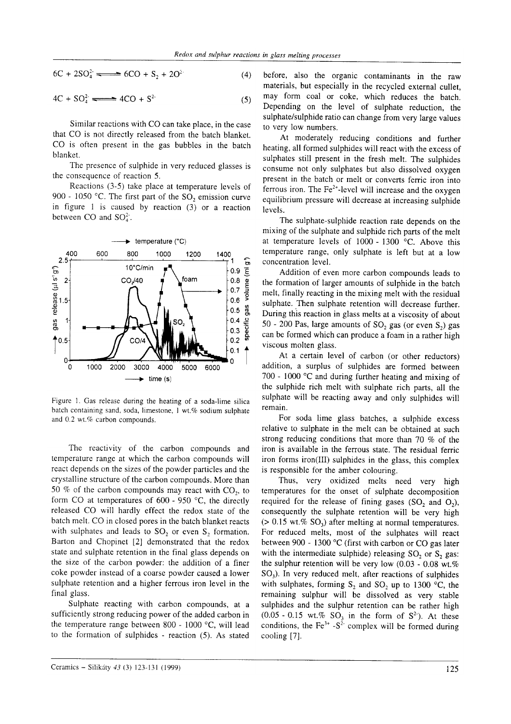$$
6C + 2SO_4^2 \xrightarrow{\qquad \qquad } 6CO + S_2 + 2O^2 \tag{4}
$$

$$
4C + SO42 \xrightarrow{ } 4CO + S2
$$
 (5)

Similar reactions with CO can take place, in the case that CO is not directly released from the batch blanket. CO is often present in the gas bubbles in the batch blanket.

The presence of sulphide in very reduced glasses is the consequence of reaction 5.

Reactions (3-5) take place at temperature levels of 900 - 1050 °C. The first part of the  $SO_2$  emission curve in figure I is caused by reaction (3) or a reaction between CO and  $SO_4^2$ .



Figure l. Gas release during the heating of a soda-lime silica batch containing sand, soda, limestone, 1 wt.% sodium sulphate and 0.2 wt.% carbon compounds.

The reactivity of the carbon compounds and temperature range at which the carbon compounds will react depends on the sizes of the powder particles and the crystalline structure of the carbon compounds. More than 50 % of the carbon compounds may react with  $CO<sub>2</sub>$ , to form CO at temperatures of  $600 - 950$  °C, the directly released CO will hardly effect the redox state of the batch melt. CO in closed pores in the batch blanket reacts with sulphates and leads to  $SO_2$  or even  $S_2$ , formation. Barton and Chopinet [2] demonstrated that the redox state and sulphate retention in the final glass depends on the size of the carbon powder: the addition of a finer coke powder instead of a coarse powder caused a lower sulphate retention and a higher ferrous iron level in the final glass.

Sulphate reacting with carbon compounds, at <sup>a</sup> sufficiently strong reducing power of the added carbon in the temperature range between 800 - 1000  $^{\circ}$ C, will lead to the formation of sulphides - reaction (5). As stated

before, also the organic contaminants in the raw materials, but especially in the recycled external cullet, may form coal or coke, which reduces the batch. Depending on the level of sulphate reduction, the sulphate/sulphide ratio can change from very large values to very low numbers.

At moderately reducing conditions and further heating, all formed sulphides will react with the excess of sulphates still present in the fresh melt. The sulphides consume not only sulphates but also dissolved oxygen present in the batch or melt or converts ferric iron into ferrous iron. The  $Fe^{2+}$ -level will increase and the oxygen equilibrium pressure will decrease at increasing sulphide levels.

The sulphate-sulphide reaction rate depends on the mixing of the sulphate and sulphide rich parts of the melt at temperature levels of  $1000 - 1300$  °C. Above this temperature range, only sulphate is left but at a low concentration level.

Addition of even more carbon compounds leads to the formation of larger amounts of sulphide in the batch melt, finally reacting in the mixing melt with the residual sulphate. Then sulphate retention will decrease further. During this reaction in glass melts at a viscosity of about 50 - 200 Pas, large amounts of SO<sub>2</sub> gas (or even  $S_2$ ) gas can be formed which can produce a foam in a rather high viscous molten glass.

At a certain level of carbon (or other reductors) addition, a surplus of sulphides are formed between 700 - 1000  $\degree$ C and during further heating and mixing of the sulphide rich melt with sulphate rich parts, all the sulphate will be reacting away and only sulphides will remain.

For soda lime glass batches, a sulphide excess relative to sulphate in the melt can be obtained at such strong reducing conditions that more than 70  $\%$  of the iron is available in the fenous state. The residual ferric iron forms iron(III) sulphides in the glass, this complex is responsible for the amber colouring.

Thus, very oxidized melts need very high temperatures for the onset of sulphate decomposition required for the release of fining gases  $(SO_2, S)$ , and  $O_2$ ), consequently the sulphate retention will be very high  $(> 0.15 \text{ wt.} \% \text{ SO}_3)$  after melting at normal temperatures. For reduced melts, most of the sulphates will react between 900 - 1300 'C (first with carbon or CO gas later with the intermediate sulphide) releasing  $SO_2$  or  $S_2$  gas: the sulphur retention will be very low (0.03 - 0.08 wt.%)  $SO<sub>3</sub>$ ). In very reduced melt, after reactions of sulphides with sulphates, forming  $S_2$  and  $SO_2$  up to 1300 °C, the remaining sulphur will be dissolved as very stable sulphides and the sulphur retention can be rather high  $(0.05 - 0.15 \text{ wt.}\% \text{ SO}_3 \text{ in the form of } S^2)$ . At these conditions, the Fe<sup>3+</sup> -S<sup>2</sup> complex will be formed during cooling [7].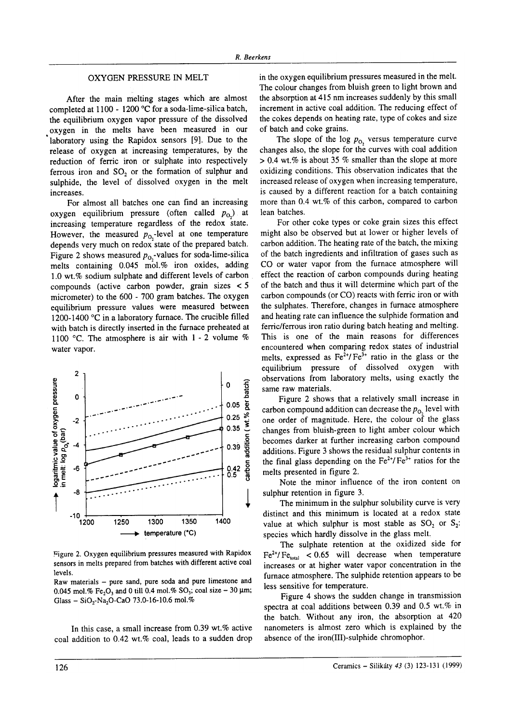# OXYGEN PRESSURE IN MELT

After the main melting stages which are almost completed at 1100 - 1200 "C for a soda-lime-silica batch, the equilibrium oxygen vapor pressure of the dissolved oxygen in the melts have been measured in our laboratory using the Rapidox sensors [9]. Due to the release of oxygen at increasing temperatures, by the reduction of ferric iron or sulphate into respectively ferrous iron and SO, or the formation of sulphur and sulphide, the level of dissolved oxygen in the melt increases.

For almost all batches one can find an increasing oxygen equilibrium pressure (often called  $p_{0}$ ) at increasing temperature regardless of the redox state. However, the measured  $p_{0}$ -level at one temperature depends very much on redox<sup>'</sup>state of the prepared batch. Figure 2 shows measured  $p_0$ ,-values for soda-lime-silica melts containing  $0.045$  mol.% iron oxides, adding 1.0 wt.% sodium sulphate and different levels of carbon compounds (active carbon powder, grain sizes < <sup>5</sup> micrometer) to the 600 - 700 gram batches. The oxygen equilibrium pressure values were measured between 1200-1400 °C in a laboratory furnace. The crucible filled with batch is directly inserted in the furnace preheated at 1100 °C. The atmosphere is air with  $1 - 2$  volume % water vapor.



Figure 2. Oxygen equilibrium pressures measured with Rapidox sensors in melts prepared from batches with different active coal levels.

Raw materials - pure sand, pure soda and pure limestone and 0.045 mol.% Fe<sub>2</sub>O<sub>3</sub> and 0 till 0.4 mol.% SO<sub>3</sub>; coal size - 30  $\mu$ m; Glass - SiO<sub>2</sub>-Na<sub>2</sub>O-CaO 73.0-16-10.6 mol.%

In this case, a small increase from  $0.39$  wt.% active coal addition to 0.42 wt.% coal, leads to a sudden drop in the oxygen equilibrium pressures measured in the melt. The colour changes from bluish green to light brown and the absorption at 415 nm increases suddenly by this small increment in active coal addition. The reducing effect of the cokes depends on heating rate, type of cokes and size of batch and coke grains.

The slope of the log  $p_{0}$ , versus temperature curve changes also, the slope for the curves with coal addition  $> 0.4$  wt.% is about 35 % smaller than the slope at more oxidizing conditions. This observation indicates that the increased release of oxygen when increasing temperature, is caused by a different reaction for a batch containing more than  $0.4$  wt.% of this carbon, compared to carbon lean batches.

For other coke types or coke grain sizes this effect might also be observed but at lower or higher levels of carbon addition. The heating rate of the batch, the mixing of the batch ingredients and infiltration of gases such as CO or water vapor from the furnace atmosphere will effect the reaction of carbon compounds during heating of the batch and thus it will determine which part of the carbon compounds (or CO) reacts with ferric iron or with the sulphates. Therefore, changes in furnace atmosphere and heating rate can influence the sulphide formation and ferric/ferrous iron ratio during batch heating and melting. This is one of the main reasons for differences encountered when comparing redox states of industrial melts, expressed as  $Fe^{2+}/Fe^{3+}$  ratio in the glass or the equilibrium pressure of dissolved oxygen with observations from laboratory melts, using exactly the same raw materials.

Figure 2 shows that a relatively small increase in carbon compound addition can decrease the  $p_{\text{o}}$ , level with one order of magnitude. Here, the colour of the glass changes from bluish-green to light amber colour which becomes darker at further increasing carbon compound additions. Figure 3 shows the residual sulphur contents in the final glass depending on the  $Fe^{2+}/Fe^{3+}$  ratios for the melts presented in figure 2.

Note the minor influence of the iron content on sulphur retention in figure 3.

The minimum in the sulphur solubility curve is very distinct and this minimum is located at a redox state value at which sulphur is most stable as  $SO_2$ , or  $S_2$ : species which hardly dissolve in the glass melt.

The sulphate retention at the oxidized side for  $Fe^{2+}/Fe<sub>total</sub>$  < 0.65 will decrease when temperature increases or at higher water vapor concentration in the furnace atmosphere. The sulphide retention appears to be less sensitive for temperature.

Figure 4 shows the sudden change in transmission spectra at coal additions between 0.39 and 0.5 wt.% in the batch. Without any iron, the absorption at <sup>420</sup> nanometers is almost zero which is explained by the absence of the iron(Ill)-sulphide chromophor.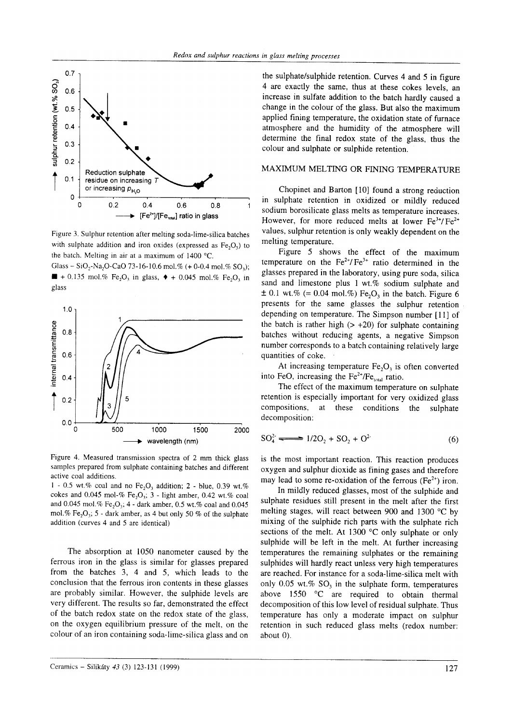

Figure 3. Sulphur retention after melting soda-lime-silica batches with sulphate addition and iron oxides (expressed as  $Fe<sub>2</sub>O<sub>3</sub>$ ) to the batch. Melting in air at a maximum of  $1400$  °C.

Glass - SiO<sub>2</sub>-Na<sub>2</sub>O-CaO 73-16-10.6 mol.% (+ 0-0.4 mol.% SO<sub>3</sub>);  $\blacksquare$  + 0.135 mol.% Fe<sub>2</sub>O<sub>3</sub> in glass,  $\blacklozenge$  + 0.045 mol.% Fe<sub>2</sub>O<sub>3</sub> in glass



Figure 4. Measured transmission spectra of 2 mm thick glass samples prepared from sulphate containing batches and different active coal additions.

 $1 - 0.5$  wt.% coal and no Fe<sub>2</sub>O<sub>2</sub> addition; 2 - blue, 0.39 wt.% cokes and 0.045 mol-% Fe<sub>2</sub>O<sub>3</sub>; 3 - light amber, 0.42 wt.% coal and 0.045 mol.% Fe,  $O_3$ ; 4 - dark amber, 0.5 wt.% coal and 0.045 mol.% Fe<sub>2</sub>O<sub>3</sub>; 5 - dark amber, as 4 but only 50 % of the sulphate addition (curves 4 and 5 are identical)

The absorption at 1050 nanometer caused by the ferrous iron in the glass is similar for glasses prepared from the batches 3, 4 and 5, which leads to the conclusion that the ferrous iron contents in these glasses are probably similar. However, the sulphide levels are very different. The results so far, demonstrated the effect of the batch redox state on the redox state of the glass, on the oxygen equilibrium pressure of the melt, on the colour of an iron containing soda-lime-silica glass and on

the sulphate/sulphide retention. Curves 4 and 5 in figure 4 are exactly the same, thus at these cokes levels, an increase in sulfate addition to the batch hardly caused <sup>a</sup> change in the colour of the glass. But also the maximum applied fining temperature, the oxidation state of furnace atmosphere and the humidity of the atmosphere will determine the final redox state of the glass, thus the colour and sulphate or sulphide retention.

# MAXIMUM MELTING OR FINING TEMPERATURE

Chopinet and Barton [10] found a strong reduction in sulphate retention in oxidized or mildly reduced sodium borosilicate glass melts as temperature increases. However, for more reduced melts at lower  $Fe^{3+}/Fe^{2+}$ values, sulphur retention is only weakly dependent on the melting temperature.

Figure 5 shows the effect of the maximum temperature on the  $\text{Fe}^{2+}/\text{Fe}^{3+}$  ratio determined in the glasses prepared in the laboratory, using pure soda, silica sand and limestone plus 1 wt.% sodium sulphate and  $\pm$  0.1 wt.% (= 0.04 mol.%) Fe<sub>2</sub>O<sub>3</sub> in the batch. Figure 6 presents for the same glasses the sulphur retention depending on temperature. The Simpson number [11] of the batch is rather high  $(> +20)$  for sulphate containing batches without reducing agents, a negative Simpson number corresponds to a batch containing relatively large quantities of coke.

At increasing temperature  $Fe<sub>2</sub>O<sub>3</sub>$  is often converted into FeO, increasing the Fe<sup>2+</sup>/Fe<sub>total</sub> ratio.

The effect of the maximum temperature on sulphate retention is especially important for very oxidized glass compositions, at these conditions the sulphate decomposition:

$$
SO_4^2 \xrightarrow{ } 1/2O_2 + SO_2 + O^2
$$
 (6)

is the most important reaction. This reaction produces oxygen and sulphur dioxide as fining gases and therefore may lead to some re-oxidation of the ferrous  $(Fe^{2+})$  iron.

In mildly reduced glasses, most of the sulphide and sulphate residues still present in the melt after the first melting stages, will react between 900 and 1300 "C by mixing of the sulphide rich parts with the sulphate rich sections of the melt. At 1300 $\degree$ C only sulphate or only sulphide will be left in the melt. At further increasing temperatures the remaining sulphates or the remaining sulphides will hardly react unless very high temperatures are reached. For instance for a soda-lime-silica melt with only  $0.05$  wt.% SO<sub>3</sub> in the sulphate form, temperatures above  $1550$  °C are required to obtain thermal decomposition of this low level of residual sulphate. Thus temperature has only a moderate impact on sulphur retention in such reduced glass melts (redox number: about 0).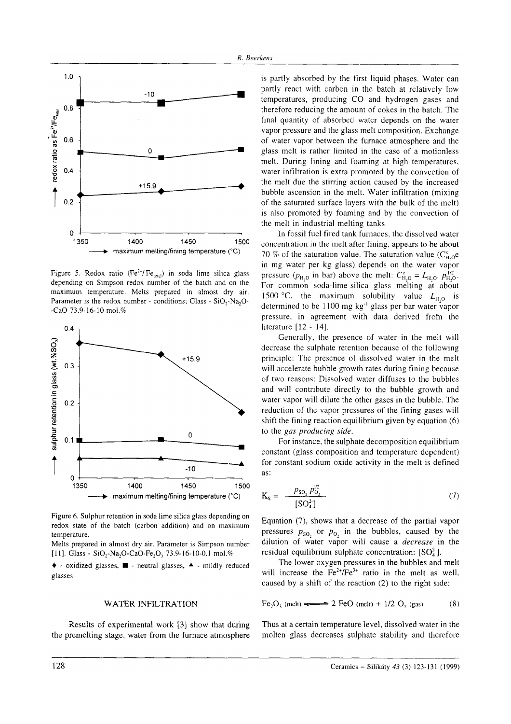

Figure 5. Redox ratio ( $Fe^{2+}/Fe_{total}$ ) in soda lime silica glass depending on Simpson redox number of the batch and on the maximum temperature. Melts prepared in almost dry air. Parameter is the redox number - conditions; Glass - SiO<sub>2</sub>-Na<sub>2</sub>O--CaO 73.9-16-10 mol.%



Figure 6. Sulphur retention in soda lime silica glass depending on redox state of the batch (carbon addition) and on maximum temperature

Melts prepared in almost dry air. Parameter is Simpson number 111. Glass - SiO<sub>2</sub>-Na<sub>2</sub>O-CaO-Fe<sub>2</sub>O<sub>2</sub> 73.9-16-10-0.1 mol.%

 $\bullet$  - oxidized glasses,  $\blacksquare$  - neutral glasses,  $\blacktriangle$  - mildly reduced glasses

### **WATER INFILTRATION**

Results of experimental work [3] show that during the premelting stage, water from the furnace atmosphere is partly absorbed by the first liquid phases. Water can partly react with carbon in the batch at relatively low temperatures, producing CO and hydrogen gases and therefore reducing the amount of cokes in the batch. The final quantity of absorbed water depends on the water vapor pressure and the glass melt composition. Exchange of water vapor between the furnace atmosphere and the glass melt is rather limited in the case of a motionless melt. During fining and foaming at high temperatures, water infiltration is extra promoted by the convection of the melt due the stirring action caused by the increased bubble ascension in the melt. Water infiltration (mixing) of the saturated surface layers with the bulk of the melt) is also promoted by foaming and by the convection of the melt in industrial melting tanks.

In fossil fuel fired tank furnaces, the dissolved water concentration in the melt after fining, appears to be about 70 % of the saturation value. The saturation value ( $C_{H_0}^c$ )e in mg water per kg glass) depends on the water vapor pressure ( $p_{\text{H},0}$  in bar) above the melt:  $C_{\text{H},0}^{\text{e}} = L_{\text{H},0}$ .  $p_{\text{H},0}^{1/2}$ . For common soda-lime-silica glass melting at about 1500 °C, the maximum solubility value  $L_{H,0}$  is determined to be 1100 mg  $kg^{-1}$  glass per bar water vapor pressure, in agreement with data derived from the literature [12 - 14].

Generally, the presence of water in the melt will decrease the sulphate retention because of the following principle: The presence of dissolved water in the melt will accelerate bubble growth rates during fining because of two reasons: Dissolved water diffuses to the bubbles and will contribute directly to the bubble growth and water vapor will dilute the other gases in the bubble. The reduction of the vapor pressures of the fining gases will shift the fining reaction equilibrium given by equation  $(6)$ to the gas producing side.

For instance, the sulphate decomposition equilibrium constant (glass composition and temperature dependent) for constant sodium oxide activity in the melt is defined as:

$$
K_{s} = \frac{p_{s0_{2}} p_{0_{2}}^{\prime 2}}{[SO_{a}^{2}]}
$$
 (7)

Equation (7), shows that a decrease of the partial vapor pressures  $p_{\text{so}}$  or  $p_{\text{o}}$  in the bubbles, caused by the dilution of water vapor will cause a *decrease* in the residual equilibrium sulphate concentration:  $[SO_4^2]$ .

The lower oxygen pressures in the bubbles and melt will increase the  $\text{Fe}^{2+}/\text{Fe}^{3+}$  ratio in the melt as well, caused by a shift of the reaction (2) to the right side:

Fe<sub>2</sub>O<sub>3</sub> (melt) 
$$
\implies
$$
 2 FeO (melt) + 1/2 O<sub>2</sub> (gas) (8)

Thus at a certain temperature level, dissolved water in the molten glass decreases sulphate stability and therefore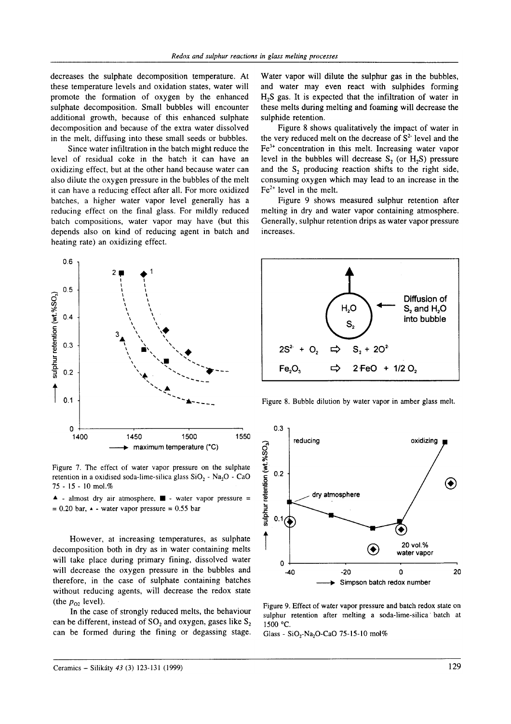decreases the sulphate decomposition temperature. At these temperature levels and oxidation states, water will promote the formation of oxygen by the enhanced sulphate decomposition. Small bubbles will encounter additional growth, because of this enhanced sulphate decomposition and because of the extra water dissolved in the melt, diffusing into these small seeds or bubbles.

Since water infiltration in the batch might reduce the level of residual coke in the batch it can have an oxidizing effect, but at the other hand because water can also dilute the oxygen pressure in the bubbles of the melt it can have a reducing effect after all. For more oxidized batches, a higher water vapor level generally has <sup>a</sup> reducing effect on the final glass. For mildly reduced batch compositions, water vapor may have (but this depends also on kind of reducing agent in batch and heating rate) an oxidizing effect.



Figure 7. The effect of water vapor pressure on the sulphate retention in a oxidised soda-lime-silica glass  $SiO_2$  - Na<sub>2</sub>O - CaO '15 - 15 - l0 mol.?o

 $\triangle$  - almost dry air atmosphere,  $\blacksquare$  - water vapor pressure =  $= 0.20$  bar,  $\triangle$  - water vapor pressure = 0.55 bar

However, at increasing temperatures, as sulphate decomposition both in dry as in water containing melts will take place during primary fining, dissolved water will decrease the oxygen pressure in the bubbles and therefore, in the case of sulphate containing batches without reducing agents, will decrease the redox state (the  $p_{02}$  level).

In the case of strongly reduced melts, the behaviour ean be different, instead of  $SO<sub>2</sub>$  and oxygen, gases like  $S<sub>2</sub>$ can be formed during the fining or degassing stage. Water vapor will dilute the sulphur gas in the bubbles, and water may even react with sulphides forming  $H<sub>2</sub>S$  gas. It is expected that the infiltration of water in these melts during melting and foaming will decrease the sulphide retention.

Figure 8 shows qualitatively the impact of water in the very reduced melt on the decrease of  $S<sup>2</sup>$  level and the  $Fe<sup>3+</sup>$  concentration in this melt. Increasing water vapor level in the bubbles will decrease  $S_2$ , (or  $H_2S$ ) pressure and the S, producing reaction shifts to the right side, consuming oxygen which may lead to an increase in the  $Fe<sup>2+</sup>$  level in the melt.

Figure 9 shows measured sulphur retention after melting in dry and water vapor containing atmosphere. Generally, sulphur retention drips as water vapor pressure increases.



Figure 8. Bubble dilution by water vapor in amber glass melt.



Figure 9. Effect of water vapor pressure and batch redox state on sulphur retention after melting a soda-lime-silica' batch at 1500 "c.

Glass -  $SiO_2-Na_2O$ -CaO 75-15-10 mol%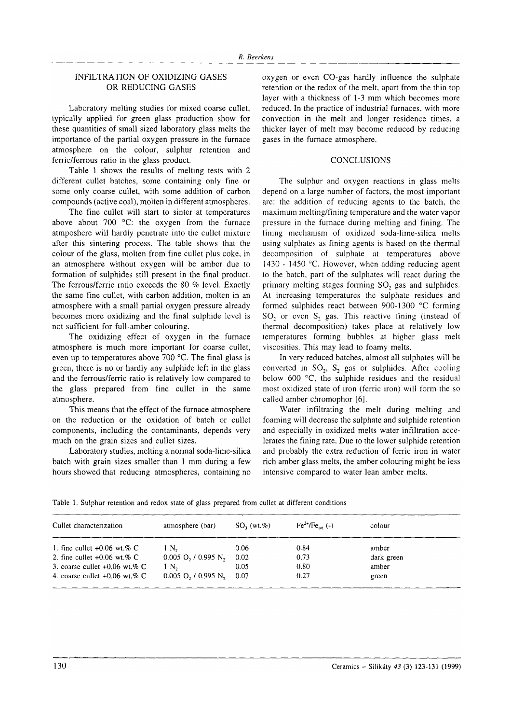# INFILTRATION OF OXIDIZING GASES OR REDUCING GASES

Laboratory melting studies for mixed coarse cullet, typically applied for green glass production show for these quantities of small sized laboratory glass melts the importance of the partial oxygen pressure in the furnace atmosphere on the colour, sulphur retention and ferric/ferrous ratio in the glass product.

Table I shows the results of melting tests with <sup>2</sup> different cullet batches, some containing only fine or some only coarse cullet, with some addition of carbon compounds (active coal), moiten in different atmospheres.

The fine cullet will start to sinter at temperatures above about 700  $^{\circ}$ C: the oxygen from the furnace atmposhere will hardly penetrate into the cullet mixture after this sintering process. The table shows that the colour of the glass, molten from fine cullet plus coke, in an atmosphere without oxygen will be amber due to formation of sulphides still present in the final product. The ferrous/ferric ratio exceeds the 80 % level. Exactly the same fine cullet, with carbon addition, molten in an atmosphere with a small partial oxygen pressure already becomes more oxidizing and the final sulphide level is not sufficient for full-amber colouring.

The oxidizing effect of oxygen in the furnace atmosphere is much more important for coarse cullet, even up to temperatures above  $700^{\circ}$ C. The final glass is green, there is no or hardly any sulphide left in the glass and the ferrous/ferric ratio is relatively iow compared to the glass prepared from fine cullet in the same atmosphere.

This means that the effect of the furnace atmosphere on the reduction or the oxidation of batch or cullet components, including the contaminants, depends very much on the grain sizes and cullet sizes.

Laboratory studies, melting a normal soda-lime-silica batch with grain sizes smaller than I mm during a few hours showed that reducing atmospheres, containing no oxygen or even CO-gas hardly influence the sulphate retention or the redox of the melt, apart from the thin top layer with a thickness of l-3 mm which becomes more reduced. In the practice of industrial furnaces. with more convection in the melt and longer residence times, a thicker layer of melt may become reduced by reducing gases in the furnace atmosphere.

# **CONCLUSIONS**

The sulphur and oxygen reactions in glass melts depend on a large number of factors, the most important are: the addition of reducing agents to the batch, the maximum melting/fining temperature and the water vapor pressure in the furnace during melting and fining. The fining mechanism of oxidized soda-lime-silica melts using sulphates as fining agents is based on the thermal decomposition of sulphate at temperatures above 1430 - 1450 °C. However, when adding reducing agent to the batch, part of the sulphates will react during the primary melting stages forming SO, gas and sulphides. At increasing temperatures the sulphate residues and formed sulphides react between 900-1300 'C forming SO, or even  $S_2$  gas. This reactive fining (instead of thermal decomposition) takes place at relatively low temperatures forming bubbles at higher glass melt viscosities. This may lead to foamy melts.

In very reduced batches, almost all sulphates will be converted in  $SO_2$ ,  $S_2$  gas or sulphides. After cooling below 600 $\degree$ C, the sulphide residues and the residual most oxidized state of iron (ferric iron) will form the so called amber chromophor [6].

Water infiltrating the melt during melting and foaming will decrease the sulphate and sulphide retention and especially in oxidized melts water infiltration accelerates the fining rate. Due to the lower sulphide retention and probably the extra reduction of fenic iron in water rich amber glass melts, the amber colouring might be less intensive compared to water lean amber melts.

|  | Table 1. Sulphur retention and redox state of glass prepared from cullet at different conditions |  |  |  |  |  |  |
|--|--------------------------------------------------------------------------------------------------|--|--|--|--|--|--|
|  |                                                                                                  |  |  |  |  |  |  |

| Cullet characterization         | atmosphere (bar)                              | $SO_1(wt,\%)$ | $Fe^{2+}/Fe_{tot}$ (-) | colour     |
|---------------------------------|-----------------------------------------------|---------------|------------------------|------------|
| 1. fine cullet $+0.06$ wt.% C   | 1 N.                                          | 0.06          | 0.84                   | amber      |
| 2. fine cullet $+0.06$ wt.% C   | $0.005$ O, $/$ 0.995 N,                       | 0.02          | 0.73                   | dark green |
| 3. coarse cullet $+0.06$ wt.% C | 1 N <sub>2</sub>                              | 0.05          | 0.80                   | amber      |
| 4. coarse cullet $+0.06$ wt.% C | $0.005$ O <sub>2</sub> / 0.995 N <sub>2</sub> | -0.07         | 0.27                   | green      |